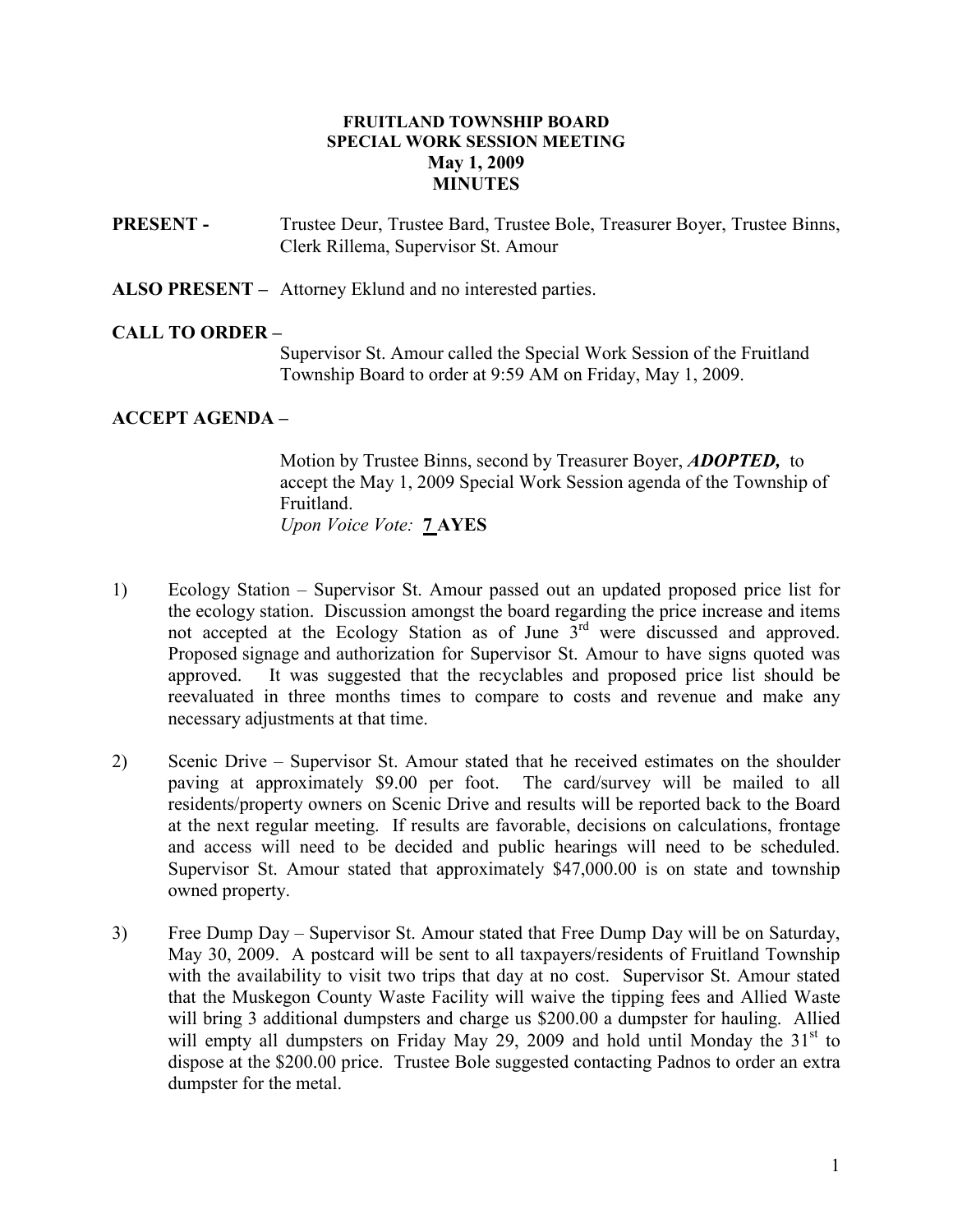## FRUITLAND TOWNSHIP BOARD SPECIAL WORK SESSION MEETING May 1, 2009 **MINUTES**

PRESENT - Trustee Deur, Trustee Bard, Trustee Bole, Treasurer Boyer, Trustee Binns, Clerk Rillema, Supervisor St. Amour

ALSO PRESENT – Attorney Eklund and no interested parties.

## CALL TO ORDER –

 Supervisor St. Amour called the Special Work Session of the Fruitland Township Board to order at 9:59 AM on Friday, May 1, 2009.

## ACCEPT AGENDA –

Motion by Trustee Binns, second by Treasurer Boyer, **ADOPTED**, to accept the May 1, 2009 Special Work Session agenda of the Township of Fruitland. Upon Voice Vote: 7 AYES

- 1) Ecology Station Supervisor St. Amour passed out an updated proposed price list for the ecology station. Discussion amongst the board regarding the price increase and items not accepted at the Ecology Station as of June 3<sup>rd</sup> were discussed and approved. Proposed signage and authorization for Supervisor St. Amour to have signs quoted was approved. It was suggested that the recyclables and proposed price list should be reevaluated in three months times to compare to costs and revenue and make any necessary adjustments at that time.
- 2) Scenic Drive Supervisor St. Amour stated that he received estimates on the shoulder paving at approximately \$9.00 per foot. The card/survey will be mailed to all residents/property owners on Scenic Drive and results will be reported back to the Board at the next regular meeting. If results are favorable, decisions on calculations, frontage and access will need to be decided and public hearings will need to be scheduled. Supervisor St. Amour stated that approximately \$47,000.00 is on state and township owned property.
- 3) Free Dump Day Supervisor St. Amour stated that Free Dump Day will be on Saturday, May 30, 2009. A postcard will be sent to all taxpayers/residents of Fruitland Township with the availability to visit two trips that day at no cost. Supervisor St. Amour stated that the Muskegon County Waste Facility will waive the tipping fees and Allied Waste will bring 3 additional dumpsters and charge us \$200.00 a dumpster for hauling. Allied will empty all dumpsters on Friday May 29, 2009 and hold until Monday the  $31<sup>st</sup>$  to dispose at the \$200.00 price. Trustee Bole suggested contacting Padnos to order an extra dumpster for the metal.